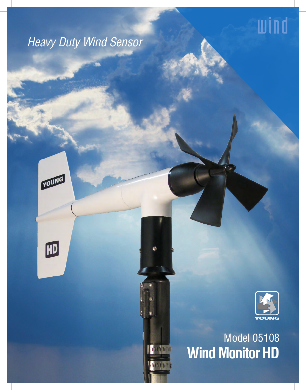# wind

# *Heavy Duty Wind Sensor*

YOUNG

 $H<sub>D</sub>$ 



# Model 05108 **Wind Monitor HD**

**THUTHER** 

**CHALLANDING**